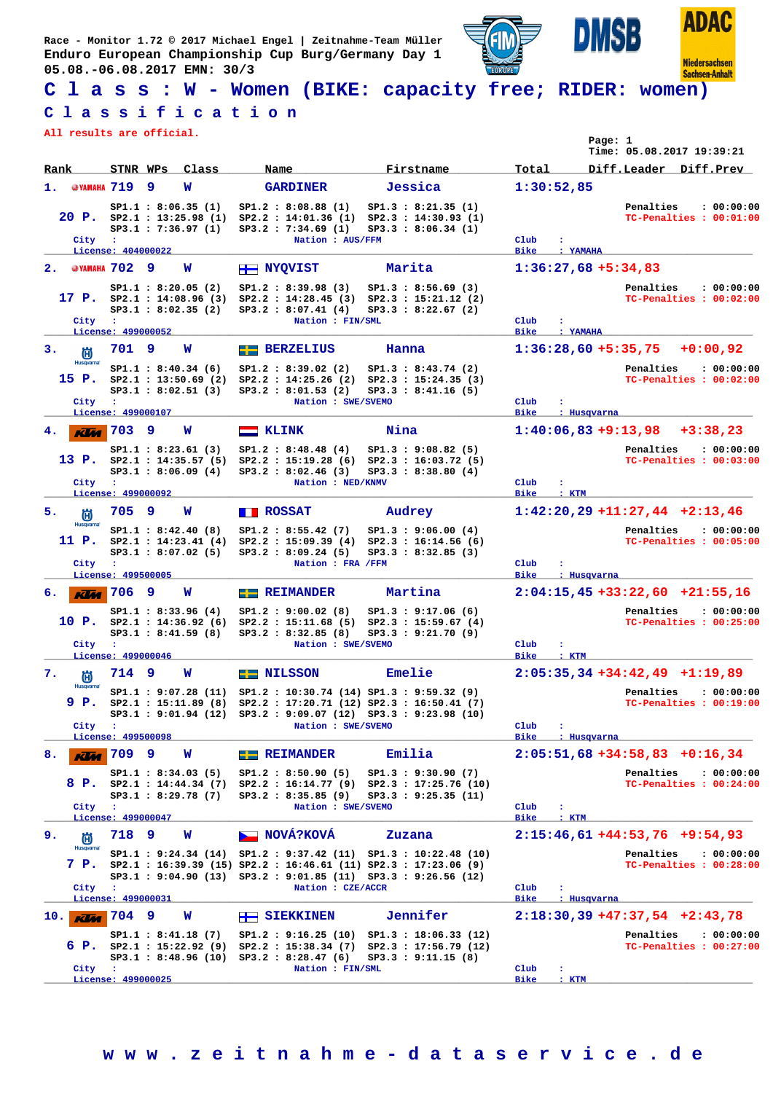**Race - Monitor 1.72 © 2017 Michael Engel | Zeitnahme-Team Müller Enduro European Championship Cup Burg/Germany Day 1 05.08.-06.08.2017 EMN: 30/3**



**ADAC Niedersachsen** 

**Sachsen-Anhalt** 

ISB

**C l a s s : W - Women (BIKE: capacity free; RIDER: women)**

## **C l a s s i f i c a t i o n**

**All results are official.**

|                             |                                    |   |                                                                             |                                                                                                                                                                                                 |                    |                                                                   |                     |               | Page: 1     | Time: 05.08.2017 19:39:21       |                                       |
|-----------------------------|------------------------------------|---|-----------------------------------------------------------------------------|-------------------------------------------------------------------------------------------------------------------------------------------------------------------------------------------------|--------------------|-------------------------------------------------------------------|---------------------|---------------|-------------|---------------------------------|---------------------------------------|
| Rank                        |                                    |   | STNR WPs Class                                                              | Name                                                                                                                                                                                            |                    | Firstname                                                         | Total               |               |             |                                 | Diff.Leader Diff.Prev                 |
| @YAMAHA 719<br>1.           |                                    | 9 | W                                                                           | <b>GARDINER</b>                                                                                                                                                                                 |                    | Jessica                                                           |                     | 1:30:52,85    |             |                                 |                                       |
|                             |                                    |   | SP1.1 : 8:06.35(1)<br>$20$ P. $SP2.1$ : 13:25.98 (1)<br>SP3.1 : 7:36.97 (1) | SP1.2 : 8:08.88(1)<br>SP2.2 : 14:01.36(1)<br>SP3.2: 7:34.69 (1)                                                                                                                                 |                    | SP1.3 : 8:21.35(1)<br>SP2.3 : 14:30.93 (1)<br>SP3.3 : 8:06.34 (1) |                     |               |             | Penalties                       | : 00:00:00<br>TC-Penalties : 00:01:00 |
| City                        | $\mathbf{L}$<br>License: 404000022 |   |                                                                             |                                                                                                                                                                                                 | Nation : AUS/FFM   |                                                                   | Club<br><b>Bike</b> | ÷<br>: YAMAHA |             |                                 |                                       |
| 2. <sup>@YAMAHA</sup> 702 9 |                                    |   | W                                                                           | <b>H</b> NYQVIST                                                                                                                                                                                |                    | Marita                                                            |                     |               |             | $1:36:27,68 + 5:34,83$          |                                       |
|                             |                                    |   | SP1.1 : 8:20.05(2)                                                          |                                                                                                                                                                                                 |                    |                                                                   |                     |               |             |                                 |                                       |
| City                        | $\cdot$                            |   | 17 P. $SP2.1 : 14:08.96(3)$<br>SP3.1 : 8:02.35(2)                           | SP1.2 : 8:39.98(3)<br>$SP2.2 : 14:28.45 (3) SP2.3 : 15:21.12 (2)$<br>SP3.2 : 8:07.41(4)                                                                                                         | Nation : FIN/SML   | SP1.3 : 8:56.69(3)<br>SP3.3 : 8:22.67(2)                          | Club                |               |             | Penalties                       | : 00:00:00<br>TC-Penalties : 00:02:00 |
|                             | License: 499000052                 |   |                                                                             |                                                                                                                                                                                                 |                    |                                                                   | <b>Bike</b>         | : YAMAHA      |             |                                 |                                       |
| з.<br>尚                     | 701 9                              |   | w                                                                           | <b>EE</b> BERZELIUS                                                                                                                                                                             |                    | Hanna                                                             |                     |               |             | $1:36:28,60 + 5:35,75$          | $+0:00,92$                            |
| <b>Husqvarna</b><br>15 P.   |                                    |   | SP1.1 : 8:40.34(6)<br>SP2.1 : 13:50.69 (2)<br>SP3.1 : 8:02.51(3)            | SP1.2 : 8:39.02(2)<br>$SP2.2$ : 14:25.26 (2) $SP2.3$ : 15:24.35 (3)<br>SP3.2 : 8:01.53 (2)                                                                                                      |                    | SP1.3 : 8:43.74 (2)<br>SP3.3 : 8:41.16(5)                         |                     |               |             | Penalties                       | : 00:00:00<br>TC-Penalties : 00:02:00 |
| City                        | $\sim$ 100                         |   |                                                                             |                                                                                                                                                                                                 | Nation : SWE/SVEMO |                                                                   | Club                | ÷             |             |                                 |                                       |
|                             | License: 499000107                 |   |                                                                             |                                                                                                                                                                                                 |                    |                                                                   | <b>Bike</b>         |               | : Husqvarna |                                 |                                       |
| 4.<br><b>KLA</b>            | 703                                | 9 | w                                                                           | $\equiv$ KLINK                                                                                                                                                                                  |                    | Nina                                                              |                     |               |             | $1:40:06,83+9:13,98$            | $+3:38,23$                            |
| 13 P.                       |                                    |   | SP1.1 : 8:23.61 (3)<br>SP2.1 : 14:35.57 (5)<br>SP3.1 : 8:06.09(4)           | SP1.2 : 8:48.48(4)<br>$SP2.2 : 15:19.28 (6) SP2.3 : 16:03.72 (5)$<br>SP3.2 : 8:02.46(3)                                                                                                         |                    | SP1.3 : 9:08.82(5)<br>SP3.3 : 8:38.80(4)                          |                     |               |             | Penalties                       | : 00:00:00<br>TC-Penalties : 00:03:00 |
| City                        | ÷.<br>License: 499000092           |   |                                                                             |                                                                                                                                                                                                 | Nation : NED/KNMV  |                                                                   | Club<br><b>Bike</b> | : KTM         |             |                                 |                                       |
| 5.<br>尚                     | 705 9                              |   | W                                                                           | <b>TE ROSSAT</b>                                                                                                                                                                                |                    | Audrey                                                            |                     |               |             | $1:42:20,29$ +11:27,44 +2:13,46 |                                       |
| <b>Husqvarna</b><br>11 P.   |                                    |   | SP1.1 : 8:42.40(8)<br>SP2.1 : 14:23.41 (4)                                  | SP1.2 : 8:55.42(7)<br>$SP2.2$ : 15:09.39 (4) $SP2.3$ : 16:14.56 (6)                                                                                                                             |                    | SP1.3 : 9:06.00(4)                                                |                     |               |             | Penalties                       | : 00:00:00<br>TC-Penalties : 00:05:00 |
|                             |                                    |   | SP3.1 : 8:07.02(5)                                                          | SP3.2 : 8:09.24(5)                                                                                                                                                                              |                    | SP3.3 : 8:32.85(3)                                                |                     |               |             |                                 |                                       |
| City                        | $\mathbf{r}$<br>License: 499500005 |   |                                                                             |                                                                                                                                                                                                 | Nation : FRA /FFM  |                                                                   | Club<br><b>Bike</b> | ÷             | : Husqvarna |                                 |                                       |
| б.<br><b>KLM</b>            | 17069                              |   | w                                                                           | $E = REIMANDER$                                                                                                                                                                                 |                    | Martina                                                           |                     |               |             |                                 | $2:04:15,45+33:22,60+21:55,16$        |
| City                        | $\cdot$                            |   | SP1.1 : 8:33.96(4)<br>10 P. $SP2.1 : 14:36.92(6)$<br>SP3.1 : 8:41.59(8)     | SP1.2 : 9:00.02 (8)<br>SP2.2 : 15:11.68(5)<br>SP3.2 : 8:32.85 (8)                                                                                                                               | Nation : SWE/SVEMO | SP1.3 : 9:17.06(6)<br>SP2.3 : 15:59.67(4)<br>SP3.3 : 9:21.70(9)   | Club                | ÷             |             | Penalties                       | : 00:00:00<br>TC-Penalties : 00:25:00 |
|                             | License: 499000046                 |   |                                                                             |                                                                                                                                                                                                 |                    |                                                                   | <b>Bike</b>         | : KTM         |             |                                 |                                       |
| 7.<br>尚                     | 714 9                              |   | w                                                                           | <b>EE</b> NILSSON                                                                                                                                                                               |                    | Emelie                                                            |                     |               |             | $2:05:35,34+34:42,49$           | $+1:19,89$                            |
| Husqvarna<br>9 P.           |                                    |   | SP2.1 : 15:11.89 (8)                                                        | $SP1.1 : 9:07.28 (11) SP1.2 : 10:30.74 (14) SP1.3 : 9:59.32 (9)$<br>SP2.2 : 17:20.71 (12) SP2.3 : 16:50.41 (7)                                                                                  |                    |                                                                   |                     |               |             | Penalties                       | : 00:00:00<br>TC-Penalties : 00:19:00 |
| City :                      |                                    |   |                                                                             | SP3.1: 9:01.94 (12) SP3.2: 9:09.07 (12) SP3.3: 9:23.98 (10)                                                                                                                                     | Nation : SWE/SVEMO |                                                                   | Club                | ÷             |             |                                 |                                       |
|                             | License: 499500098                 |   |                                                                             |                                                                                                                                                                                                 |                    |                                                                   | <b>Bike</b>         |               | : Husqvarna |                                 |                                       |
| 8.<br>Klaa                  | 709 9                              |   | W                                                                           | <b>EXECUTE REIMANDER</b>                                                                                                                                                                        |                    | Emilia                                                            |                     |               |             | $2:05:51,68+34:58,83+0:16,34$   |                                       |
|                             |                                    |   | SP1.1 : 8:34.03 (5)<br>SP3.1 : 8:29.78(7)                                   | SP1.2 : 8:50.90(5)<br>8 P. SP2.1 : 14:44.34 (7) SP2.2 : 16:14.77 (9) SP2.3 : 17:25.76 (10)<br>SP3.2 : 8:35.85(9)                                                                                |                    | SP1.3 : 9:30.90(7)<br>SP3.3 : 9:25.35 (11)                        |                     |               |             | Penalties                       | : 00:00:00<br>TC-Penalties : 00:24:00 |
| City                        | $\sim$ 100                         |   |                                                                             |                                                                                                                                                                                                 | Nation : SWE/SVEMO |                                                                   | Club                | ÷             |             |                                 |                                       |
|                             | License: 499000047                 |   |                                                                             |                                                                                                                                                                                                 |                    |                                                                   | <b>Bike</b>         | : KTM         |             |                                 |                                       |
| 9.<br>偤<br><b>Husqvarna</b> | 718 9                              |   | w                                                                           | NOVÁ?KOVÁ                                                                                                                                                                                       |                    | Zuzana                                                            |                     |               |             | $2:15:46,61+44:53,76+9:54,93$   |                                       |
| 7 P.                        |                                    |   |                                                                             | SP1.1: 9:24.34 (14) SP1.2: 9:37.42 (11) SP1.3: 10:22.48 (10)<br>SP2.1 : 16:39.39 (15) SP2.2 : 16:46.61 (11) SP2.3 : 17:23.06 (9)<br>SP3.1: 9:04.90 (13) SP3.2: 9:01.85 (11) SP3.3: 9:26.56 (12) |                    |                                                                   |                     |               |             | Penalties                       | : 00:00:00<br>TC-Penalties : 00:28:00 |
| City                        | $\cdot$<br>License: 499000031      |   |                                                                             |                                                                                                                                                                                                 | Nation : CZE/ACCR  |                                                                   | Club<br>Bike        |               | : Husqvarna |                                 |                                       |
| 10.<br><b>KLM</b>           | 704 9                              |   | W                                                                           | $\leftarrow$ SIEKKINEN                                                                                                                                                                          |                    | Jennifer                                                          |                     |               |             | $2:18:30,39$ +47:37,54 +2:43,78 |                                       |
|                             |                                    |   |                                                                             |                                                                                                                                                                                                 |                    |                                                                   |                     |               |             |                                 |                                       |
| 6 P.                        | $\sim$ 100                         |   |                                                                             | SP1.1: 8:41.18 (7) SP1.2: 9:16.25 (10) SP1.3: 18:06.33 (12)<br>SP2.1: 15:22.92 (9) SP2.2: 15:38.34 (7) SP2.3: 17:56.79 (12)<br>$SP3.1 : 8:48.96 (10) SP3.2 : 8:28.47 (6)$                       | Nation : FIN/SML   | SP3.3 : 9:11.15(8)                                                | Club                | ÷             |             | Penalties                       | : 00:00:00<br>TC-Penalties : 00:27:00 |
| City                        |                                    |   |                                                                             |                                                                                                                                                                                                 |                    |                                                                   |                     |               |             |                                 |                                       |